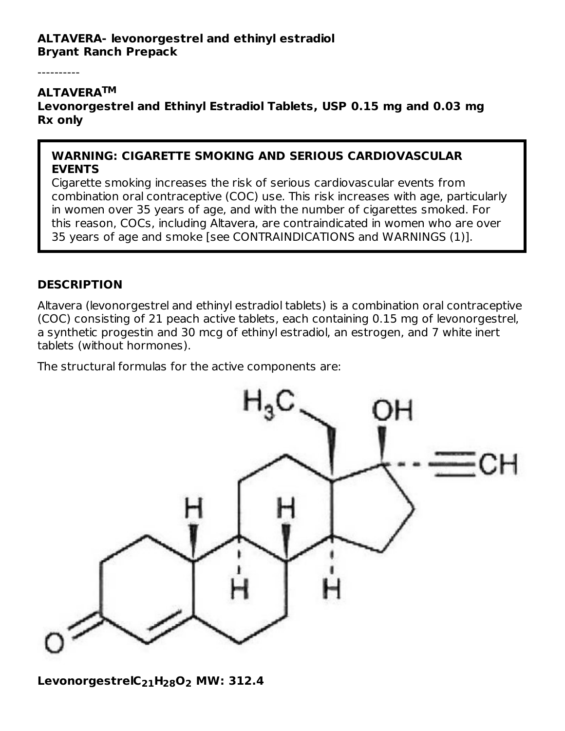#### **ALTAVERA- levonorgestrel and ethinyl estradiol Bryant Ranch Prepack**

----------

#### **ALTAVERA TM**

**Levonorgestrel and Ethinyl Estradiol Tablets, USP 0.15 mg and 0.03 mg Rx only**

#### **WARNING: CIGARETTE SMOKING AND SERIOUS CARDIOVASCULAR EVENTS**

Cigarette smoking increases the risk of serious cardiovascular events from combination oral contraceptive (COC) use. This risk increases with age, particularly in women over 35 years of age, and with the number of cigarettes smoked. For this reason, COCs, including Altavera, are contraindicated in women who are over 35 years of age and smoke [see CONTRAINDICATIONS and WARNINGS (1)].

#### **DESCRIPTION**

Altavera (levonorgestrel and ethinyl estradiol tablets) is a combination oral contraceptive (COC) consisting of 21 peach active tablets, each containing 0.15 mg of levonorgestrel, a synthetic progestin and 30 mcg of ethinyl estradiol, an estrogen, and 7 white inert tablets (without hormones).

The structural formulas for the active components are:



**LevonorgestrelC H O MW: 312.4 21 28 2**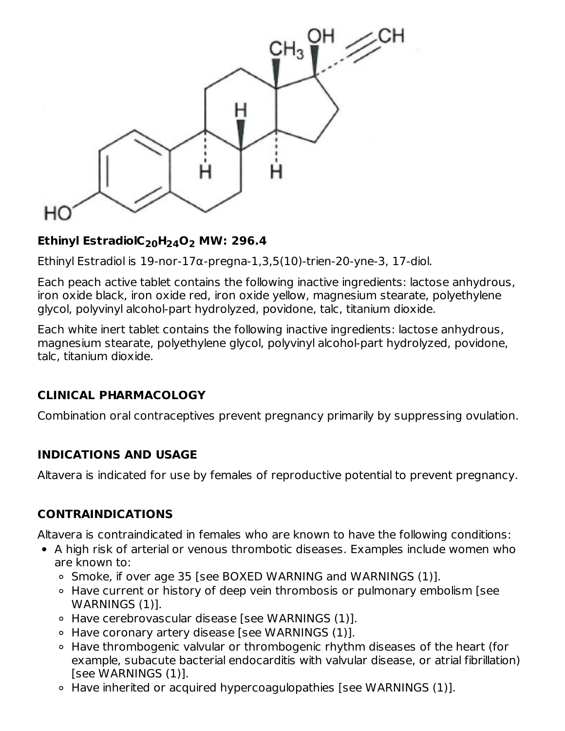

## **Ethinyl EstradiolC H O MW: 296.4 20 24 2**

Ethinyl Estradiol is 19-nor-17α-pregna-1,3,5(10)-trien-20-yne-3, 17-diol.

Each peach active tablet contains the following inactive ingredients: lactose anhydrous, iron oxide black, iron oxide red, iron oxide yellow, magnesium stearate, polyethylene glycol, polyvinyl alcohol-part hydrolyzed, povidone, talc, titanium dioxide.

Each white inert tablet contains the following inactive ingredients: lactose anhydrous, magnesium stearate, polyethylene glycol, polyvinyl alcohol-part hydrolyzed, povidone, talc, titanium dioxide.

## **CLINICAL PHARMACOLOGY**

Combination oral contraceptives prevent pregnancy primarily by suppressing ovulation.

#### **INDICATIONS AND USAGE**

Altavera is indicated for use by females of reproductive potential to prevent pregnancy.

## **CONTRAINDICATIONS**

Altavera is contraindicated in females who are known to have the following conditions:

- A high risk of arterial or venous thrombotic diseases. Examples include women who are known to:
	- Smoke, if over age 35 [see BOXED WARNING and WARNINGS (1)].
	- Have current or history of deep vein thrombosis or pulmonary embolism [see WARNINGS (1)].
	- Have cerebrovascular disease [see WARNINGS (1)].
	- $\circ$  Have coronary artery disease [see WARNINGS (1)].
	- Have thrombogenic valvular or thrombogenic rhythm diseases of the heart (for example, subacute bacterial endocarditis with valvular disease, or atrial fibrillation) [see WARNINGS (1)].
	- $\circ$  Have inherited or acquired hypercoagulopathies [see WARNINGS (1)].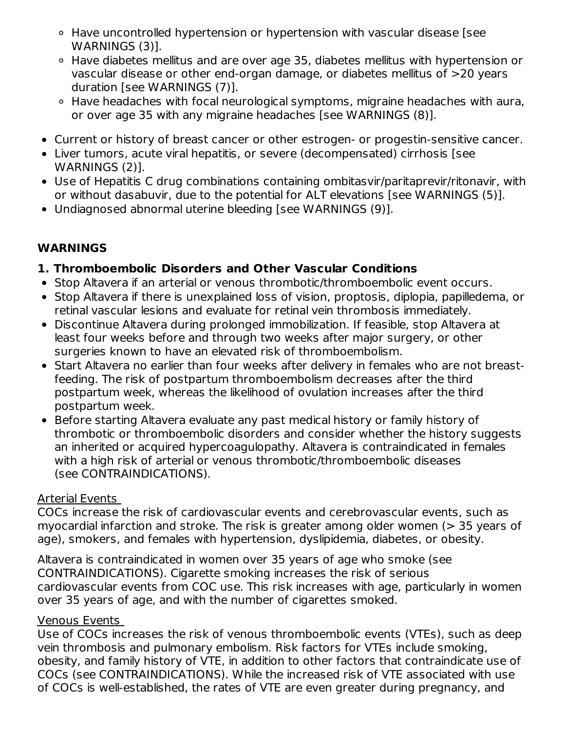- Have uncontrolled hypertension or hypertension with vascular disease [see WARNINGS (3)].
- Have diabetes mellitus and are over age 35, diabetes mellitus with hypertension or vascular disease or other end-organ damage, or diabetes mellitus of >20 years duration [see WARNINGS (7)].
- Have headaches with focal neurological symptoms, migraine headaches with aura, or over age 35 with any migraine headaches [see WARNINGS (8)].
- Current or history of breast cancer or other estrogen- or progestin-sensitive cancer.
- Liver tumors, acute viral hepatitis, or severe (decompensated) cirrhosis [see WARNINGS (2)].
- Use of Hepatitis C drug combinations containing ombitasvir/paritaprevir/ritonavir, with or without dasabuvir, due to the potential for ALT elevations [see WARNINGS (5)].
- Undiagnosed abnormal uterine bleeding [see WARNINGS (9)].

## **WARNINGS**

## **1. Thromboembolic Disorders and Other Vascular Conditions**

- Stop Altavera if an arterial or venous thrombotic/thromboembolic event occurs.
- Stop Altavera if there is unexplained loss of vision, proptosis, diplopia, papilledema, or retinal vascular lesions and evaluate for retinal vein thrombosis immediately.
- Discontinue Altavera during prolonged immobilization. If feasible, stop Altavera at least four weeks before and through two weeks after major surgery, or other surgeries known to have an elevated risk of thromboembolism.
- Start Altavera no earlier than four weeks after delivery in females who are not breastfeeding. The risk of postpartum thromboembolism decreases after the third postpartum week, whereas the likelihood of ovulation increases after the third postpartum week.
- Before starting Altavera evaluate any past medical history or family history of thrombotic or thromboembolic disorders and consider whether the history suggests an inherited or acquired hypercoagulopathy. Altavera is contraindicated in females with a high risk of arterial or venous thrombotic/thromboembolic diseases (see CONTRAINDICATIONS).

## Arterial Events

COCs increase the risk of cardiovascular events and cerebrovascular events, such as myocardial infarction and stroke. The risk is greater among older women (> 35 years of age), smokers, and females with hypertension, dyslipidemia, diabetes, or obesity.

Altavera is contraindicated in women over 35 years of age who smoke (see CONTRAINDICATIONS). Cigarette smoking increases the risk of serious cardiovascular events from COC use. This risk increases with age, particularly in women over 35 years of age, and with the number of cigarettes smoked.

## Venous Events

Use of COCs increases the risk of venous thromboembolic events (VTEs), such as deep vein thrombosis and pulmonary embolism. Risk factors for VTEs include smoking, obesity, and family history of VTE, in addition to other factors that contraindicate use of COCs (see CONTRAINDICATIONS). While the increased risk of VTE associated with use of COCs is well-established, the rates of VTE are even greater during pregnancy, and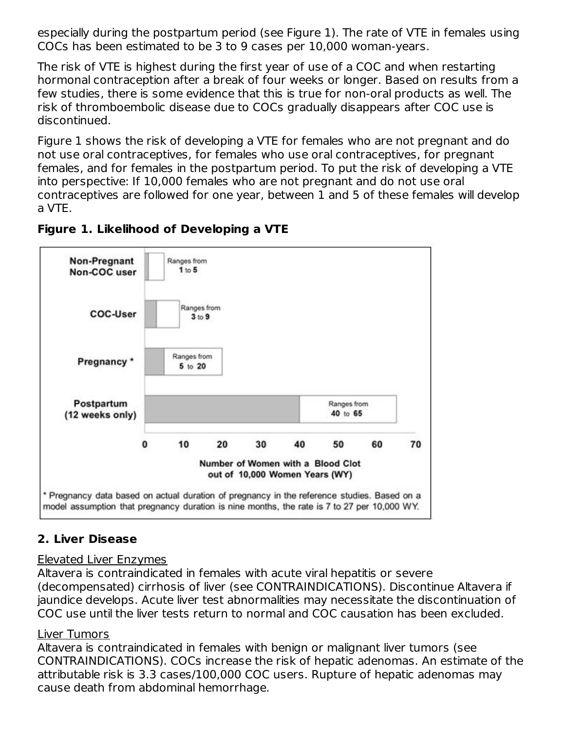especially during the postpartum period (see Figure 1). The rate of VTE in females using COCs has been estimated to be 3 to 9 cases per 10,000 woman-years.

The risk of VTE is highest during the first year of use of a COC and when restarting hormonal contraception after a break of four weeks or longer. Based on results from a few studies, there is some evidence that this is true for non-oral products as well. The risk of thromboembolic disease due to COCs gradually disappears after COC use is discontinued.

Figure 1 shows the risk of developing a VTE for females who are not pregnant and do not use oral contraceptives, for females who use oral contraceptives, for pregnant females, and for females in the postpartum period. To put the risk of developing a VTE into perspective: If 10,000 females who are not pregnant and do not use oral contraceptives are followed for one year, between 1 and 5 of these females will develop a VTE.





## **2. Liver Disease**

#### Elevated Liver Enzymes

Altavera is contraindicated in females with acute viral hepatitis or severe (decompensated) cirrhosis of liver (see CONTRAINDICATIONS). Discontinue Altavera if jaundice develops. Acute liver test abnormalities may necessitate the discontinuation of COC use until the liver tests return to normal and COC causation has been excluded.

#### Liver Tumors

Altavera is contraindicated in females with benign or malignant liver tumors (see CONTRAINDICATIONS). COCs increase the risk of hepatic adenomas. An estimate of the attributable risk is 3.3 cases/100,000 COC users. Rupture of hepatic adenomas may cause death from abdominal hemorrhage.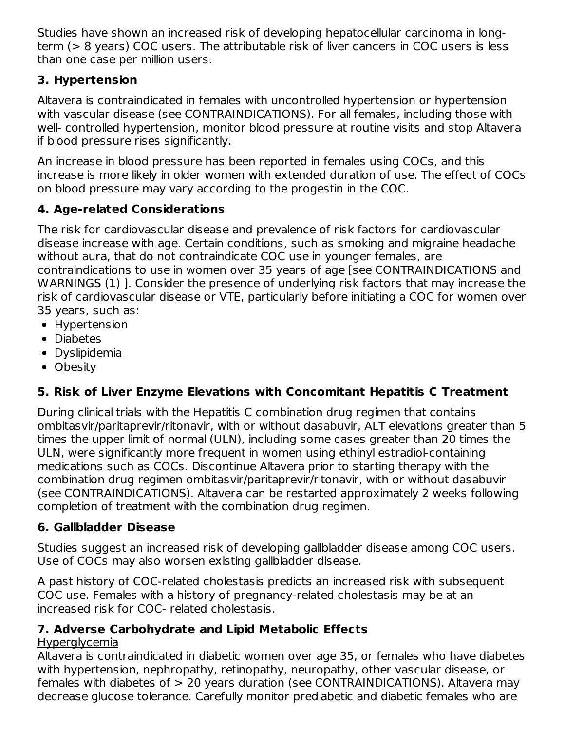Studies have shown an increased risk of developing hepatocellular carcinoma in longterm (> 8 years) COC users. The attributable risk of liver cancers in COC users is less than one case per million users.

## **3. Hypertension**

Altavera is contraindicated in females with uncontrolled hypertension or hypertension with vascular disease (see CONTRAINDICATIONS). For all females, including those with well- controlled hypertension, monitor blood pressure at routine visits and stop Altavera if blood pressure rises significantly.

An increase in blood pressure has been reported in females using COCs, and this increase is more likely in older women with extended duration of use. The effect of COCs on blood pressure may vary according to the progestin in the COC.

## **4. Age-related Considerations**

The risk for cardiovascular disease and prevalence of risk factors for cardiovascular disease increase with age. Certain conditions, such as smoking and migraine headache without aura, that do not contraindicate COC use in younger females, are contraindications to use in women over 35 years of age [see CONTRAINDICATIONS and WARNINGS (1) ]. Consider the presence of underlying risk factors that may increase the risk of cardiovascular disease or VTE, particularly before initiating a COC for women over 35 years, such as:

- Hypertension
- Diabetes
- Dyslipidemia
- Obesity

# **5. Risk of Liver Enzyme Elevations with Concomitant Hepatitis C Treatment**

During clinical trials with the Hepatitis C combination drug regimen that contains ombitasvir/paritaprevir/ritonavir, with or without dasabuvir, ALT elevations greater than 5 times the upper limit of normal (ULN), including some cases greater than 20 times the ULN, were significantly more frequent in women using ethinyl estradiol-containing medications such as COCs. Discontinue Altavera prior to starting therapy with the combination drug regimen ombitasvir/paritaprevir/ritonavir, with or without dasabuvir (see CONTRAINDICATIONS). Altavera can be restarted approximately 2 weeks following completion of treatment with the combination drug regimen.

## **6. Gallbladder Disease**

Studies suggest an increased risk of developing gallbladder disease among COC users. Use of COCs may also worsen existing gallbladder disease.

A past history of COC-related cholestasis predicts an increased risk with subsequent COC use. Females with a history of pregnancy-related cholestasis may be at an increased risk for COC- related cholestasis.

## **7. Adverse Carbohydrate and Lipid Metabolic Effects**

## Hyperglycemia

Altavera is contraindicated in diabetic women over age 35, or females who have diabetes with hypertension, nephropathy, retinopathy, neuropathy, other vascular disease, or females with diabetes of > 20 years duration (see CONTRAINDICATIONS). Altavera may decrease glucose tolerance. Carefully monitor prediabetic and diabetic females who are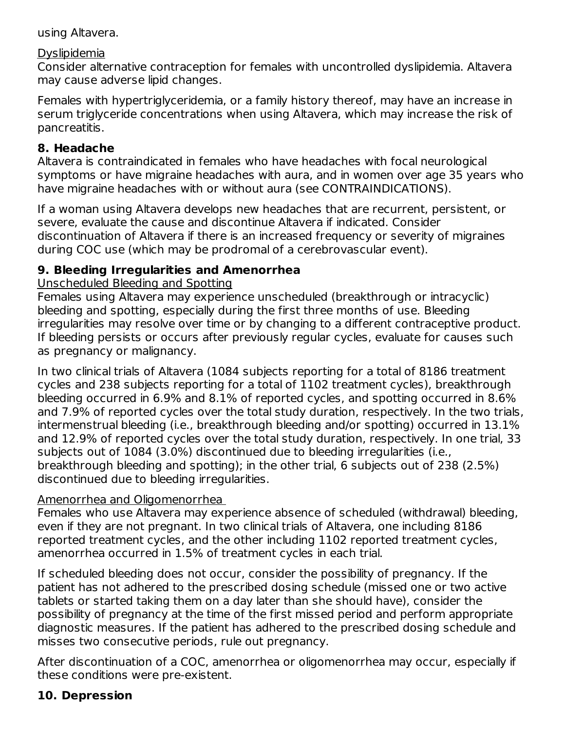using Altavera.

#### Dyslipidemia

Consider alternative contraception for females with uncontrolled dyslipidemia. Altavera may cause adverse lipid changes.

Females with hypertriglyceridemia, or a family history thereof, may have an increase in serum triglyceride concentrations when using Altavera, which may increase the risk of pancreatitis.

### **8. Headache**

Altavera is contraindicated in females who have headaches with focal neurological symptoms or have migraine headaches with aura, and in women over age 35 years who have migraine headaches with or without aura (see CONTRAINDICATIONS).

If a woman using Altavera develops new headaches that are recurrent, persistent, or severe, evaluate the cause and discontinue Altavera if indicated. Consider discontinuation of Altavera if there is an increased frequency or severity of migraines during COC use (which may be prodromal of a cerebrovascular event).

## **9. Bleeding Irregularities and Amenorrhea**

### Unscheduled Bleeding and Spotting

Females using Altavera may experience unscheduled (breakthrough or intracyclic) bleeding and spotting, especially during the first three months of use. Bleeding irregularities may resolve over time or by changing to a different contraceptive product. If bleeding persists or occurs after previously regular cycles, evaluate for causes such as pregnancy or malignancy.

In two clinical trials of Altavera (1084 subjects reporting for a total of 8186 treatment cycles and 238 subjects reporting for a total of 1102 treatment cycles), breakthrough bleeding occurred in 6.9% and 8.1% of reported cycles, and spotting occurred in 8.6% and 7.9% of reported cycles over the total study duration, respectively. In the two trials, intermenstrual bleeding (i.e., breakthrough bleeding and/or spotting) occurred in 13.1% and 12.9% of reported cycles over the total study duration, respectively. In one trial, 33 subjects out of 1084 (3.0%) discontinued due to bleeding irregularities (i.e., breakthrough bleeding and spotting); in the other trial, 6 subjects out of 238 (2.5%) discontinued due to bleeding irregularities.

## Amenorrhea and Oligomenorrhea

Females who use Altavera may experience absence of scheduled (withdrawal) bleeding, even if they are not pregnant. In two clinical trials of Altavera, one including 8186 reported treatment cycles, and the other including 1102 reported treatment cycles, amenorrhea occurred in 1.5% of treatment cycles in each trial.

If scheduled bleeding does not occur, consider the possibility of pregnancy. If the patient has not adhered to the prescribed dosing schedule (missed one or two active tablets or started taking them on a day later than she should have), consider the possibility of pregnancy at the time of the first missed period and perform appropriate diagnostic measures. If the patient has adhered to the prescribed dosing schedule and misses two consecutive periods, rule out pregnancy.

After discontinuation of a COC, amenorrhea or oligomenorrhea may occur, especially if these conditions were pre-existent.

## **10. Depression**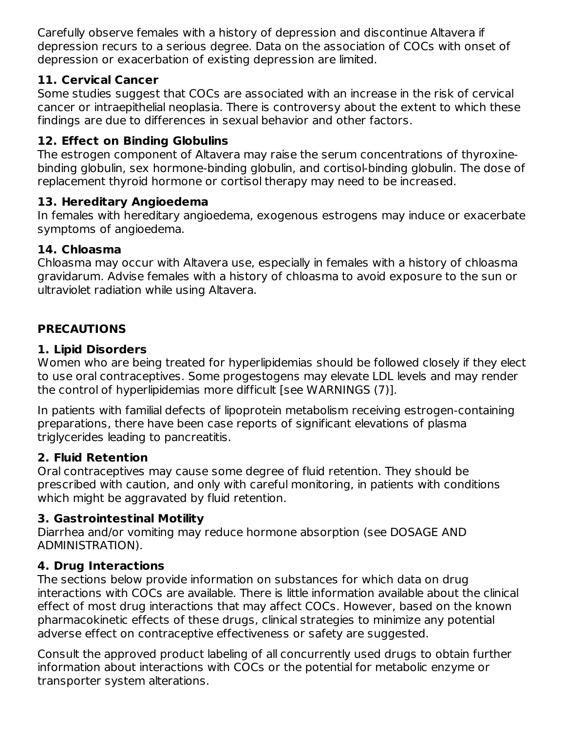Carefully observe females with a history of depression and discontinue Altavera if depression recurs to a serious degree. Data on the association of COCs with onset of depression or exacerbation of existing depression are limited.

## **11. Cervical Cancer**

Some studies suggest that COCs are associated with an increase in the risk of cervical cancer or intraepithelial neoplasia. There is controversy about the extent to which these findings are due to differences in sexual behavior and other factors.

## **12. Effect on Binding Globulins**

The estrogen component of Altavera may raise the serum concentrations of thyroxinebinding globulin, sex hormone-binding globulin, and cortisol-binding globulin. The dose of replacement thyroid hormone or cortisol therapy may need to be increased.

### **13. Hereditary Angioedema**

In females with hereditary angioedema, exogenous estrogens may induce or exacerbate symptoms of angioedema.

### **14. Chloasma**

Chloasma may occur with Altavera use, especially in females with a history of chloasma gravidarum. Advise females with a history of chloasma to avoid exposure to the sun or ultraviolet radiation while using Altavera.

## **PRECAUTIONS**

#### **1. Lipid Disorders**

Women who are being treated for hyperlipidemias should be followed closely if they elect to use oral contraceptives. Some progestogens may elevate LDL levels and may render the control of hyperlipidemias more difficult [see WARNINGS (7)].

In patients with familial defects of lipoprotein metabolism receiving estrogen-containing preparations, there have been case reports of significant elevations of plasma triglycerides leading to pancreatitis.

## **2. Fluid Retention**

Oral contraceptives may cause some degree of fluid retention. They should be prescribed with caution, and only with careful monitoring, in patients with conditions which might be aggravated by fluid retention.

#### **3. Gastrointestinal Motility**

Diarrhea and/or vomiting may reduce hormone absorption (see DOSAGE AND ADMINISTRATION).

#### **4. Drug Interactions**

The sections below provide information on substances for which data on drug interactions with COCs are available. There is little information available about the clinical effect of most drug interactions that may affect COCs. However, based on the known pharmacokinetic effects of these drugs, clinical strategies to minimize any potential adverse effect on contraceptive effectiveness or safety are suggested.

Consult the approved product labeling of all concurrently used drugs to obtain further information about interactions with COCs or the potential for metabolic enzyme or transporter system alterations.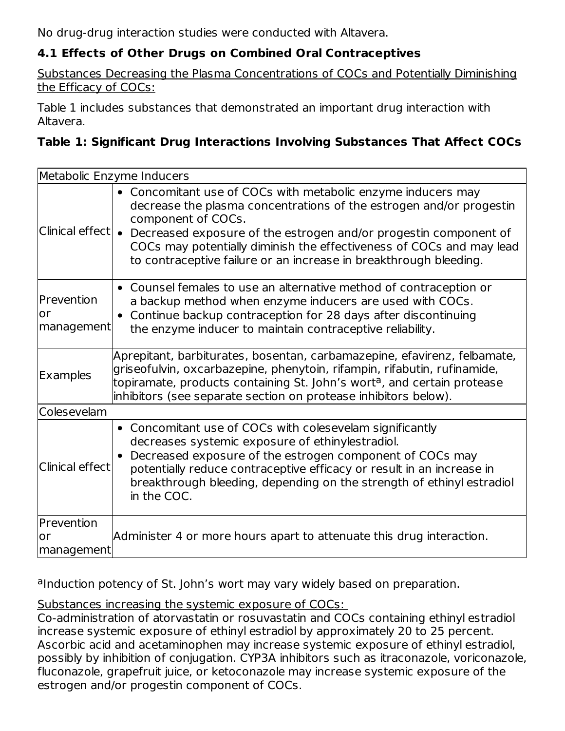No drug-drug interaction studies were conducted with Altavera.

## **4.1 Effects of Other Drugs on Combined Oral Contraceptives**

Substances Decreasing the Plasma Concentrations of COCs and Potentially Diminishing the Efficacy of COCs:

Table 1 includes substances that demonstrated an important drug interaction with Altavera.

### **Table 1: Significant Drug Interactions Involving Substances That Affect COCs**

|                                | Metabolic Enzyme Inducers                                                                                                                                                                                                                                                                                                                                                                                     |
|--------------------------------|---------------------------------------------------------------------------------------------------------------------------------------------------------------------------------------------------------------------------------------------------------------------------------------------------------------------------------------------------------------------------------------------------------------|
|                                | • Concomitant use of COCs with metabolic enzyme inducers may<br>decrease the plasma concentrations of the estrogen and/or progestin<br>component of COCs.<br>Clinical $\text{effect} \bullet\>$ Decreased exposure of the estrogen and/or progestin component of<br>COCs may potentially diminish the effectiveness of COCs and may lead<br>to contraceptive failure or an increase in breakthrough bleeding. |
| Prevention<br>or<br>management | • Counsel females to use an alternative method of contraception or<br>a backup method when enzyme inducers are used with COCs.<br>Continue backup contraception for 28 days after discontinuing<br>the enzyme inducer to maintain contraceptive reliability.                                                                                                                                                  |
| <b>Examples</b>                | Aprepitant, barbiturates, bosentan, carbamazepine, efavirenz, felbamate,<br>griseofulvin, oxcarbazepine, phenytoin, rifampin, rifabutin, rufinamide,<br>topiramate, products containing St. John's wort <sup>a</sup> , and certain protease<br>inhibitors (see separate section on protease inhibitors below).                                                                                                |
| Colesevelam                    |                                                                                                                                                                                                                                                                                                                                                                                                               |
| Clinical effect                | • Concomitant use of COCs with colesevelam significantly<br>decreases systemic exposure of ethinylestradiol.<br>Decreased exposure of the estrogen component of COCs may<br>potentially reduce contraceptive efficacy or result in an increase in<br>breakthrough bleeding, depending on the strength of ethinyl estradiol<br>in the COC.                                                                     |
| Prevention                     |                                                                                                                                                                                                                                                                                                                                                                                                               |
| or                             | Administer 4 or more hours apart to attenuate this drug interaction.                                                                                                                                                                                                                                                                                                                                          |
| management                     |                                                                                                                                                                                                                                                                                                                                                                                                               |

aInduction potency of St. John's wort may vary widely based on preparation.

Substances increasing the systemic exposure of COCs:

Co-administration of atorvastatin or rosuvastatin and COCs containing ethinyl estradiol increase systemic exposure of ethinyl estradiol by approximately 20 to 25 percent. Ascorbic acid and acetaminophen may increase systemic exposure of ethinyl estradiol, possibly by inhibition of conjugation. CYP3A inhibitors such as itraconazole, voriconazole, fluconazole, grapefruit juice, or ketoconazole may increase systemic exposure of the estrogen and/or progestin component of COCs.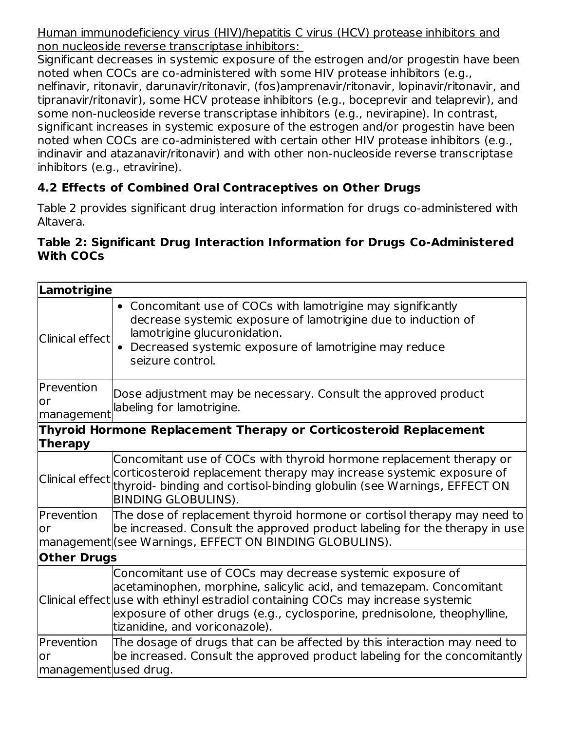Human immunodeficiency virus (HIV)/hepatitis C virus (HCV) protease inhibitors and non nucleoside reverse transcriptase inhibitors:

Significant decreases in systemic exposure of the estrogen and/or progestin have been noted when COCs are co-administered with some HIV protease inhibitors (e.g., nelfinavir, ritonavir, darunavir/ritonavir, (fos)amprenavir/ritonavir, lopinavir/ritonavir, and tipranavir/ritonavir), some HCV protease inhibitors (e.g., boceprevir and telaprevir), and some non-nucleoside reverse transcriptase inhibitors (e.g., nevirapine). In contrast, significant increases in systemic exposure of the estrogen and/or progestin have been noted when COCs are co-administered with certain other HIV protease inhibitors (e.g., indinavir and atazanavir/ritonavir) and with other non-nucleoside reverse transcriptase inhibitors (e.g., etravirine).

## **4.2 Effects of Combined Oral Contraceptives on Other Drugs**

Table 2 provides significant drug interaction information for drugs co-administered with Altavera.

#### **Table 2: Significant Drug Interaction Information for Drugs Co-Administered With COCs**

| Lamotrigine                               |                                                                                                                                                                                                                                                                                                                                    |
|-------------------------------------------|------------------------------------------------------------------------------------------------------------------------------------------------------------------------------------------------------------------------------------------------------------------------------------------------------------------------------------|
| Clinical effect                           | • Concomitant use of COCs with lamotrigine may significantly<br>decrease systemic exposure of lamotrigine due to induction of<br>lamotrigine glucuronidation.<br>• Decreased systemic exposure of lamotrigine may reduce<br>seizure control.                                                                                       |
| <b>IPrevention</b><br>lor<br>management   | Dose adjustment may be necessary. Consult the approved product<br>labeling for lamotrigine.                                                                                                                                                                                                                                        |
| <b>Therapy</b>                            | Thyroid Hormone Replacement Therapy or Corticosteroid Replacement                                                                                                                                                                                                                                                                  |
|                                           | Concomitant use of COCs with thyroid hormone replacement therapy or<br>Clinical effect corticosteroid replacement therapy may increase systemic exposure of<br>thyroid- binding and cortisol-binding globulin (see Warnings, EFFECT ON<br><b>BINDING GLOBULINS).</b>                                                               |
| Prevention<br>lor                         | The dose of replacement thyroid hormone or cortisol therapy may need to<br>be increased. Consult the approved product labeling for the therapy in use<br> management (see Warnings, EFFECT ON BINDING GLOBULINS).                                                                                                                  |
| <b>Other Drugs</b>                        |                                                                                                                                                                                                                                                                                                                                    |
|                                           | Concomitant use of COCs may decrease systemic exposure of<br>acetaminophen, morphine, salicylic acid, and temazepam. Concomitant<br>Clinical effect use with ethinyl estradiol containing COCs may increase systemic<br>exposure of other drugs (e.g., cyclosporine, prednisolone, theophylline,<br>tizanidine, and voriconazole). |
| Prevention<br>lor<br>managementused drug. | The dosage of drugs that can be affected by this interaction may need to<br>be increased. Consult the approved product labeling for the concomitantly                                                                                                                                                                              |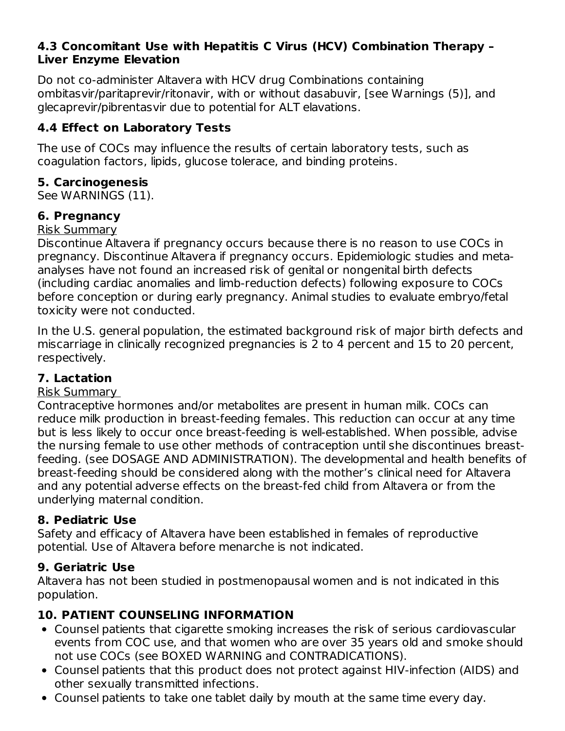#### **4.3 Concomitant Use with Hepatitis C Virus (HCV) Combination Therapy – Liver Enzyme Elevation**

Do not co-administer Altavera with HCV drug Combinations containing ombitasvir/paritaprevir/ritonavir, with or without dasabuvir, [see Warnings (5)], and glecaprevir/pibrentasvir due to potential for ALT elavations.

## **4.4 Effect on Laboratory Tests**

The use of COCs may influence the results of certain laboratory tests, such as coagulation factors, lipids, glucose tolerace, and binding proteins.

## **5. Carcinogenesis**

See WARNINGS (11).

## **6. Pregnancy**

#### Risk Summary

Discontinue Altavera if pregnancy occurs because there is no reason to use COCs in pregnancy. Discontinue Altavera if pregnancy occurs. Epidemiologic studies and metaanalyses have not found an increased risk of genital or nongenital birth defects (including cardiac anomalies and limb-reduction defects) following exposure to COCs before conception or during early pregnancy. Animal studies to evaluate embryo/fetal toxicity were not conducted.

In the U.S. general population, the estimated background risk of major birth defects and miscarriage in clinically recognized pregnancies is 2 to 4 percent and 15 to 20 percent, respectively.

## **7. Lactation**

#### Risk Summary

Contraceptive hormones and/or metabolites are present in human milk. COCs can reduce milk production in breast-feeding females. This reduction can occur at any time but is less likely to occur once breast-feeding is well-established. When possible, advise the nursing female to use other methods of contraception until she discontinues breastfeeding. (see DOSAGE AND ADMINISTRATION). The developmental and health benefits of breast-feeding should be considered along with the mother's clinical need for Altavera and any potential adverse effects on the breast-fed child from Altavera or from the underlying maternal condition.

## **8. Pediatric Use**

Safety and efficacy of Altavera have been established in females of reproductive potential. Use of Altavera before menarche is not indicated.

## **9. Geriatric Use**

Altavera has not been studied in postmenopausal women and is not indicated in this population.

## **10. PATIENT COUNSELING INFORMATION**

- Counsel patients that cigarette smoking increases the risk of serious cardiovascular events from COC use, and that women who are over 35 years old and smoke should not use COCs (see BOXED WARNING and CONTRADICATIONS).
- Counsel patients that this product does not protect against HIV-infection (AIDS) and other sexually transmitted infections.
- Counsel patients to take one tablet daily by mouth at the same time every day.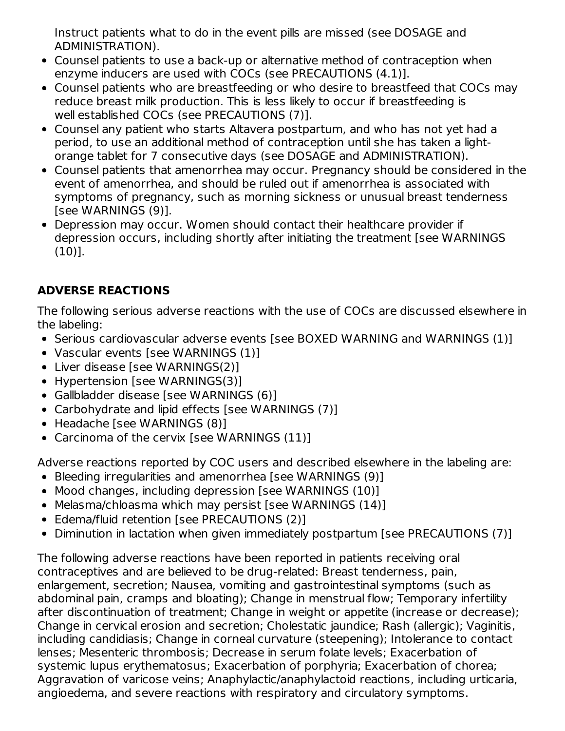Instruct patients what to do in the event pills are missed (see DOSAGE and ADMINISTRATION).

- Counsel patients to use a back-up or alternative method of contraception when enzyme inducers are used with COCs (see PRECAUTIONS (4.1)].
- Counsel patients who are breastfeeding or who desire to breastfeed that COCs may reduce breast milk production. This is less likely to occur if breastfeeding is well established COCs (see PRECAUTIONS (7)].
- Counsel any patient who starts Altavera postpartum, and who has not yet had a period, to use an additional method of contraception until she has taken a lightorange tablet for 7 consecutive days (see DOSAGE and ADMINISTRATION).
- Counsel patients that amenorrhea may occur. Pregnancy should be considered in the event of amenorrhea, and should be ruled out if amenorrhea is associated with symptoms of pregnancy, such as morning sickness or unusual breast tenderness [see WARNINGS (9)].
- Depression may occur. Women should contact their healthcare provider if depression occurs, including shortly after initiating the treatment [see WARNINGS (10)].

## **ADVERSE REACTIONS**

The following serious adverse reactions with the use of COCs are discussed elsewhere in the labeling:

- Serious cardiovascular adverse events [see BOXED WARNING and WARNINGS (1)]
- Vascular events [see WARNINGS (1)]
- Liver disease [see WARNINGS(2)]
- Hypertension [see WARNINGS(3)]
- Gallbladder disease [see WARNINGS (6)]
- Carbohydrate and lipid effects [see WARNINGS (7)]
- Headache [see WARNINGS (8)]
- Carcinoma of the cervix [see WARNINGS (11)]

Adverse reactions reported by COC users and described elsewhere in the labeling are:

- Bleeding irregularities and amenorrhea [see WARNINGS (9)]
- Mood changes, including depression [see WARNINGS (10)]
- Melasma/chloasma which may persist [see WARNINGS (14)]
- Edema/fluid retention [see PRECAUTIONS (2)]
- Diminution in lactation when given immediately postpartum [see PRECAUTIONS (7)]

The following adverse reactions have been reported in patients receiving oral contraceptives and are believed to be drug-related: Breast tenderness, pain, enlargement, secretion; Nausea, vomiting and gastrointestinal symptoms (such as abdominal pain, cramps and bloating); Change in menstrual flow; Temporary infertility after discontinuation of treatment; Change in weight or appetite (increase or decrease); Change in cervical erosion and secretion; Cholestatic jaundice; Rash (allergic); Vaginitis, including candidiasis; Change in corneal curvature (steepening); Intolerance to contact lenses; Mesenteric thrombosis; Decrease in serum folate levels; Exacerbation of systemic lupus erythematosus; Exacerbation of porphyria; Exacerbation of chorea; Aggravation of varicose veins; Anaphylactic/anaphylactoid reactions, including urticaria, angioedema, and severe reactions with respiratory and circulatory symptoms.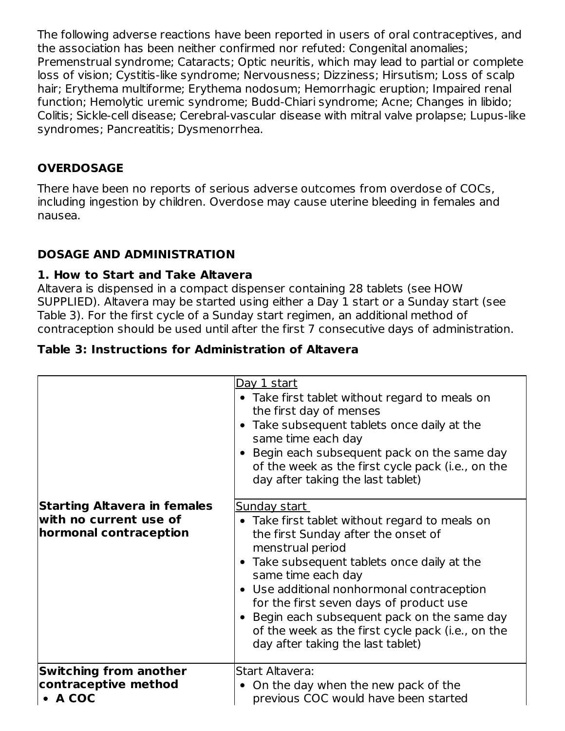The following adverse reactions have been reported in users of oral contraceptives, and the association has been neither confirmed nor refuted: Congenital anomalies; Premenstrual syndrome; Cataracts; Optic neuritis, which may lead to partial or complete loss of vision; Cystitis-like syndrome; Nervousness; Dizziness; Hirsutism; Loss of scalp hair; Erythema multiforme; Erythema nodosum; Hemorrhagic eruption; Impaired renal function; Hemolytic uremic syndrome; Budd-Chiari syndrome; Acne; Changes in libido; Colitis; Sickle-cell disease; Cerebral-vascular disease with mitral valve prolapse; Lupus-like syndromes; Pancreatitis; Dysmenorrhea.

## **OVERDOSAGE**

There have been no reports of serious adverse outcomes from overdose of COCs, including ingestion by children. Overdose may cause uterine bleeding in females and nausea.

## **DOSAGE AND ADMINISTRATION**

### **1. How to Start and Take Altavera**

Altavera is dispensed in a compact dispenser containing 28 tablets (see HOW SUPPLIED). Altavera may be started using either a Day 1 start or a Sunday start (see Table 3). For the first cycle of a Sunday start regimen, an additional method of contraception should be used until after the first 7 consecutive days of administration.

## **Table 3: Instructions for Administration of Altavera**

|                                                                                  | Day 1 start<br>• Take first tablet without regard to meals on<br>the first day of menses<br>• Take subsequent tablets once daily at the<br>same time each day<br>• Begin each subsequent pack on the same day<br>of the week as the first cycle pack (i.e., on the<br>day after taking the last tablet)                                                                                                                                  |
|----------------------------------------------------------------------------------|------------------------------------------------------------------------------------------------------------------------------------------------------------------------------------------------------------------------------------------------------------------------------------------------------------------------------------------------------------------------------------------------------------------------------------------|
| Starting Altavera in females<br>with no current use of<br>hormonal contraception | <u>Sunday start</u><br>• Take first tablet without regard to meals on<br>the first Sunday after the onset of<br>menstrual period<br>• Take subsequent tablets once daily at the<br>same time each day<br>• Use additional nonhormonal contraception<br>for the first seven days of product use<br>• Begin each subsequent pack on the same day<br>of the week as the first cycle pack (i.e., on the<br>day after taking the last tablet) |
| <b>Switching from another</b><br>contraceptive method<br>$\bullet$ A COC         | <b>Start Altavera:</b><br>• On the day when the new pack of the<br>previous COC would have been started                                                                                                                                                                                                                                                                                                                                  |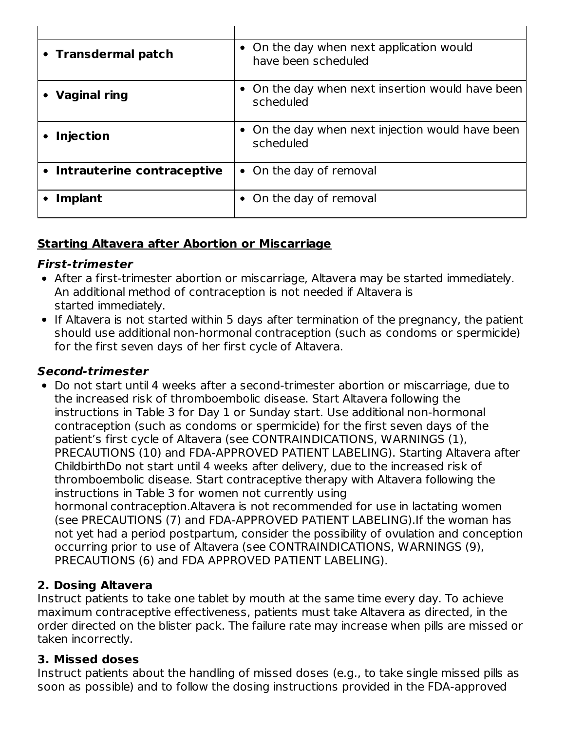| • Transdermal patch          | • On the day when next application would<br>have been scheduled |
|------------------------------|-----------------------------------------------------------------|
| <b>Vaginal ring</b>          | • On the day when next insertion would have been<br>scheduled   |
| <b>Injection</b>             | • On the day when next injection would have been<br>scheduled   |
| • Intrauterine contraceptive | • On the day of removal                                         |
| <b>Implant</b>               | • On the day of removal                                         |

### **Starting Altavera after Abortion or Miscarriage**

#### **First-trimester**

- After a first-trimester abortion or miscarriage, Altavera may be started immediately. An additional method of contraception is not needed if Altavera is started immediately.
- If Altavera is not started within 5 days after termination of the pregnancy, the patient should use additional non-hormonal contraception (such as condoms or spermicide) for the first seven days of her first cycle of Altavera.

#### **Second-trimester**

Do not start until 4 weeks after a second-trimester abortion or miscarriage, due to the increased risk of thromboembolic disease. Start Altavera following the instructions in Table 3 for Day 1 or Sunday start. Use additional non-hormonal contraception (such as condoms or spermicide) for the first seven days of the patient's first cycle of Altavera (see CONTRAINDICATIONS, WARNINGS (1), PRECAUTIONS (10) and FDA-APPROVED PATIENT LABELING). Starting Altavera after ChildbirthDo not start until 4 weeks after delivery, due to the increased risk of thromboembolic disease. Start contraceptive therapy with Altavera following the instructions in Table 3 for women not currently using hormonal contraception.Altavera is not recommended for use in lactating women (see PRECAUTIONS (7) and FDA-APPROVED PATIENT LABELING).If the woman has

not yet had a period postpartum, consider the possibility of ovulation and conception occurring prior to use of Altavera (see CONTRAINDICATIONS, WARNINGS (9), PRECAUTIONS (6) and FDA APPROVED PATIENT LABELING).

## **2. Dosing Altavera**

Instruct patients to take one tablet by mouth at the same time every day. To achieve maximum contraceptive effectiveness, patients must take Altavera as directed, in the order directed on the blister pack. The failure rate may increase when pills are missed or taken incorrectly.

#### **3. Missed doses**

Instruct patients about the handling of missed doses (e.g., to take single missed pills as soon as possible) and to follow the dosing instructions provided in the FDA-approved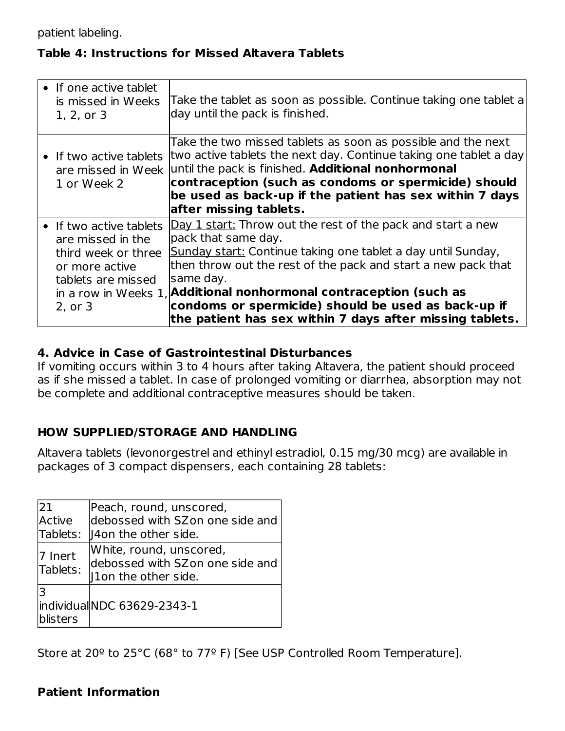patient labeling.

#### **Table 4: Instructions for Missed Altavera Tablets**

| • If one active tablet<br>is missed in Weeks<br>1, 2, or 3                                                             | Take the tablet as soon as possible. Continue taking one tablet a<br>day until the pack is finished.                                                                                                                                                                                                                                                                                                                      |
|------------------------------------------------------------------------------------------------------------------------|---------------------------------------------------------------------------------------------------------------------------------------------------------------------------------------------------------------------------------------------------------------------------------------------------------------------------------------------------------------------------------------------------------------------------|
| 1 or Week 2                                                                                                            | Take the two missed tablets as soon as possible and the next<br>• If two active tablets two active tablets the next day. Continue taking one tablet a day<br>are missed in Week until the pack is finished. Additional nonhormonal<br>contraception (such as condoms or spermicide) should<br>be used as back-up if the patient has sex within 7 days<br>after missing tablets.                                           |
| • If two active tablets<br>are missed in the<br>third week or three<br>or more active<br>tablets are missed<br>2, or 3 | Day 1 start: Throw out the rest of the pack and start a new<br>pack that same day.<br>Sunday start: Continue taking one tablet a day until Sunday,<br>then throw out the rest of the pack and start a new pack that<br>same day.<br>in a row in Weeks 1, Additional nonhormonal contraception (such as<br>condoms or spermicide) should be used as back-up if<br>the patient has sex within 7 days after missing tablets. |

#### **4. Advice in Case of Gastrointestinal Disturbances**

If vomiting occurs within 3 to 4 hours after taking Altavera, the patient should proceed as if she missed a tablet. In case of prolonged vomiting or diarrhea, absorption may not be complete and additional contraceptive measures should be taken.

#### **HOW SUPPLIED/STORAGE AND HANDLING**

Altavera tablets (levonorgestrel and ethinyl estradiol, 0.15 mg/30 mcg) are available in packages of 3 compact dispensers, each containing 28 tablets:

| 21<br><b>Active</b><br>Tablets: | Peach, round, unscored,<br>debossed with SZon one side and<br>14 I 40 I the other side. |
|---------------------------------|-----------------------------------------------------------------------------------------|
| 7 Inert<br>Tablets:             | White, round, unscored,<br>debossed with SZon one side and<br>11 On the other side.     |
| lЗ<br>blisters                  | lindividual NDC 63629-2343-1                                                            |

Store at 20º to 25°C (68° to 77º F) [See USP Controlled Room Temperature].

#### **Patient Information**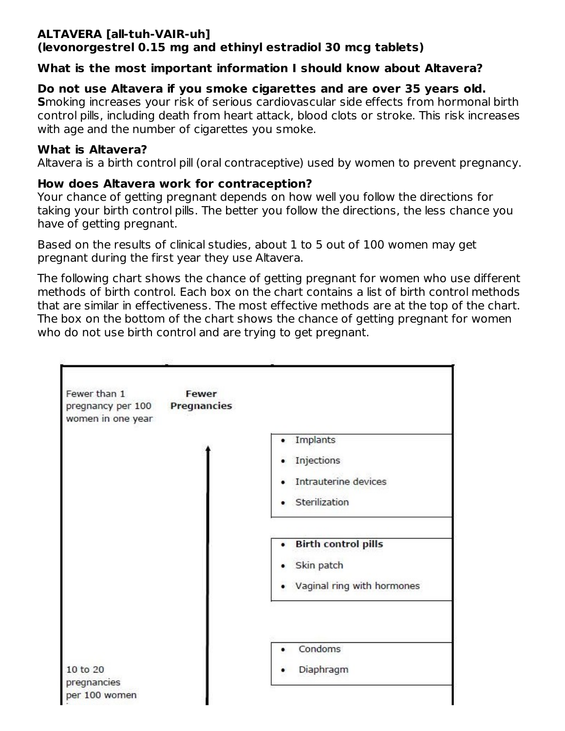#### **ALTAVERA [all-tuh-VAIR-uh] (levonorgestrel 0.15 mg and ethinyl estradiol 30 mcg tablets)**

### **What is the most important information I should know about Altavera?**

## **Do not use Altavera if you smoke cigarettes and are over 35 years old.**

**S**moking increases your risk of serious cardiovascular side effects from hormonal birth control pills, including death from heart attack, blood clots or stroke. This risk increases with age and the number of cigarettes you smoke.

#### **What is Altavera?**

Altavera is a birth control pill (oral contraceptive) used by women to prevent pregnancy.

## **How does Altavera work for contraception?**

Your chance of getting pregnant depends on how well you follow the directions for taking your birth control pills. The better you follow the directions, the less chance you have of getting pregnant.

Based on the results of clinical studies, about 1 to 5 out of 100 women may get pregnant during the first year they use Altavera.

The following chart shows the chance of getting pregnant for women who use different methods of birth control. Each box on the chart contains a list of birth control methods that are similar in effectiveness. The most effective methods are at the top of the chart. The box on the bottom of the chart shows the chance of getting pregnant for women who do not use birth control and are trying to get pregnant.

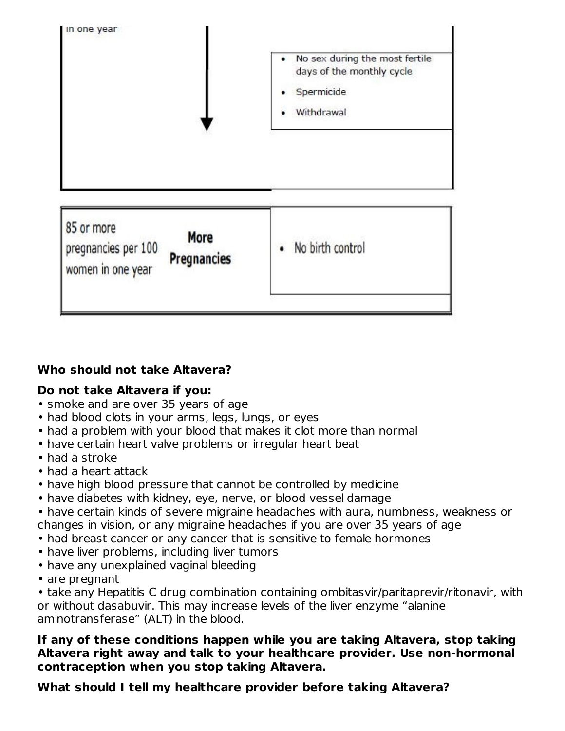

## **Who should not take Altavera?**

#### **Do not take Altavera if you:**

- smoke and are over 35 years of age
- had blood clots in your arms, legs, lungs, or eyes
- had a problem with your blood that makes it clot more than normal
- have certain heart valve problems or irregular heart beat
- had a stroke
- had a heart attack
- have high blood pressure that cannot be controlled by medicine
- have diabetes with kidney, eye, nerve, or blood vessel damage
- have certain kinds of severe migraine headaches with aura, numbness, weakness or changes in vision, or any migraine headaches if you are over 35 years of age
- had breast cancer or any cancer that is sensitive to female hormones
- have liver problems, including liver tumors
- have any unexplained vaginal bleeding
- are pregnant

• take any Hepatitis C drug combination containing ombitasvir/paritaprevir/ritonavir, with or without dasabuvir. This may increase levels of the liver enzyme "alanine aminotransferase" (ALT) in the blood.

#### **If any of these conditions happen while you are taking Altavera, stop taking Altavera right away and talk to your healthcare provider. Use non-hormonal contraception when you stop taking Altavera.**

## **What should I tell my healthcare provider before taking Altavera?**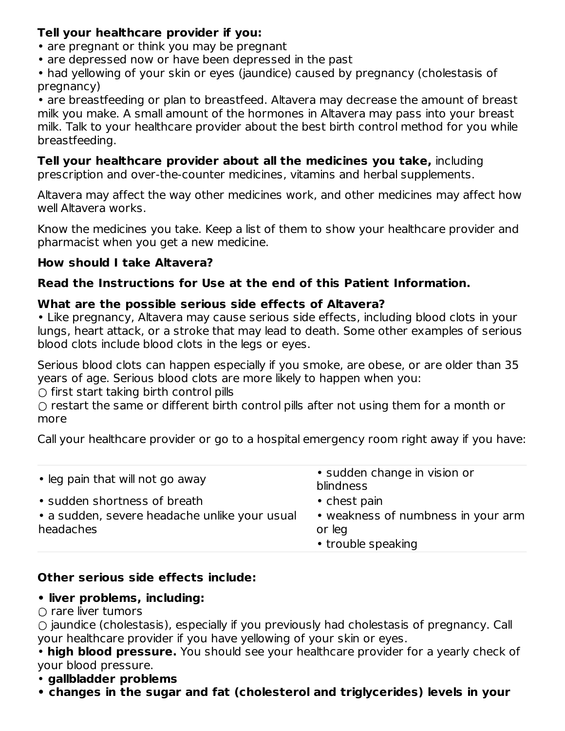### **Tell your healthcare provider if you:**

- are pregnant or think you may be pregnant
- are depressed now or have been depressed in the past
- had yellowing of your skin or eyes (jaundice) caused by pregnancy (cholestasis of pregnancy)

• are breastfeeding or plan to breastfeed. Altavera may decrease the amount of breast milk you make. A small amount of the hormones in Altavera may pass into your breast milk. Talk to your healthcare provider about the best birth control method for you while breastfeeding.

## **Tell your healthcare provider about all the medicines you take,** including

prescription and over-the-counter medicines, vitamins and herbal supplements.

Altavera may affect the way other medicines work, and other medicines may affect how well Altavera works.

Know the medicines you take. Keep a list of them to show your healthcare provider and pharmacist when you get a new medicine.

## **How should I take Altavera?**

## **Read the Instructions for Use at the end of this Patient Information.**

## **What are the possible serious side effects of Altavera?**

• Like pregnancy, Altavera may cause serious side effects, including blood clots in your lungs, heart attack, or a stroke that may lead to death. Some other examples of serious blood clots include blood clots in the legs or eyes.

Serious blood clots can happen especially if you smoke, are obese, or are older than 35 years of age. Serious blood clots are more likely to happen when you:

 $\bigcirc$  first start taking birth control pills

○ restart the same or different birth control pills after not using them for a month or more

Call your healthcare provider or go to a hospital emergency room right away if you have:

| • leg pain that will not go away                                                           | • sudden change in vision or<br>blindness                                          |
|--------------------------------------------------------------------------------------------|------------------------------------------------------------------------------------|
| • sudden shortness of breath<br>• a sudden, severe headache unlike your usual<br>headaches | • chest pain<br>• weakness of numbness in your arm<br>or leg<br>• trouble speaking |

## **Other serious side effects include:**

## **• liver problems, including:**

#### $\cap$  rare liver tumors

○ jaundice (cholestasis), especially if you previously had cholestasis of pregnancy. Call your healthcare provider if you have yellowing of your skin or eyes.

• **high blood pressure.** You should see your healthcare provider for a yearly check of your blood pressure.

- **gallbladder problems**
- **• changes in the sugar and fat (cholesterol and triglycerides) levels in your**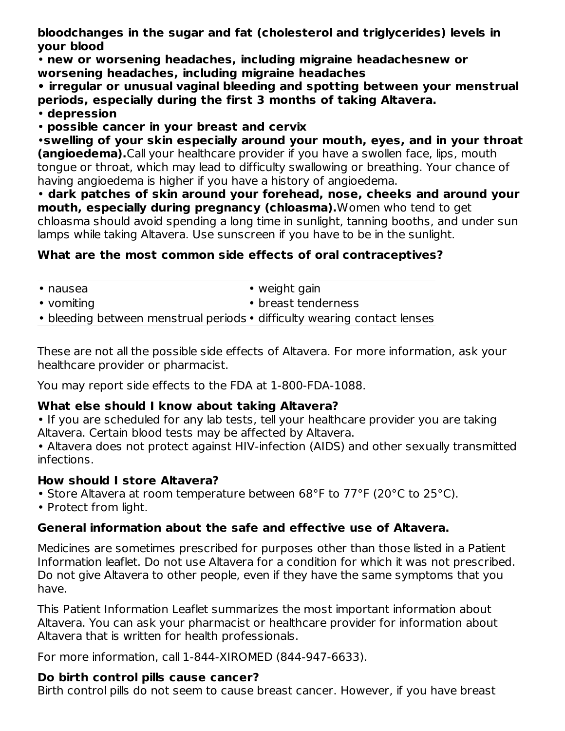**bloodchanges in the sugar and fat (cholesterol and triglycerides) levels in your blood**

• **new or worsening headaches, including migraine headachesnew or worsening headaches, including migraine headaches**

**• irregular or unusual vaginal bleeding and spotting between your menstrual periods, especially during the first 3 months of taking Altavera.**

• **depression**

• **possible cancer in your breast and cervix**

•**swelling of your skin especially around your mouth, eyes, and in your throat (angioedema).**Call your healthcare provider if you have a swollen face, lips, mouth tongue or throat, which may lead to difficulty swallowing or breathing. Your chance of having angioedema is higher if you have a history of angioedema.

• **dark patches of skin around your forehead, nose, cheeks and around your mouth, especially during pregnancy (chloasma).**Women who tend to get chloasma should avoid spending a long time in sunlight, tanning booths, and under sun lamps while taking Altavera. Use sunscreen if you have to be in the sunlight.

## **What are the most common side effects of oral contraceptives?**

| $\bullet$ nausea                                                         | $\bullet$ weight gain |
|--------------------------------------------------------------------------|-----------------------|
| • vomiting                                                               | • breast tenderness   |
| • bleeding between menstrual periods • difficulty wearing contact lenses |                       |

These are not all the possible side effects of Altavera. For more information, ask your healthcare provider or pharmacist.

You may report side effects to the FDA at 1-800-FDA-1088.

#### **What else should I know about taking Altavera?**

• If you are scheduled for any lab tests, tell your healthcare provider you are taking Altavera. Certain blood tests may be affected by Altavera.

• Altavera does not protect against HIV-infection (AIDS) and other sexually transmitted infections.

#### **How should I store Altavera?**

- Store Altavera at room temperature between 68°F to 77°F (20°C to 25°C).
- Protect from light.

## **General information about the safe and effective use of Altavera.**

Medicines are sometimes prescribed for purposes other than those listed in a Patient Information leaflet. Do not use Altavera for a condition for which it was not prescribed. Do not give Altavera to other people, even if they have the same symptoms that you have.

This Patient Information Leaflet summarizes the most important information about Altavera. You can ask your pharmacist or healthcare provider for information about Altavera that is written for health professionals.

For more information, call 1-844-XIROMED (844-947-6633).

## **Do birth control pills cause cancer?**

Birth control pills do not seem to cause breast cancer. However, if you have breast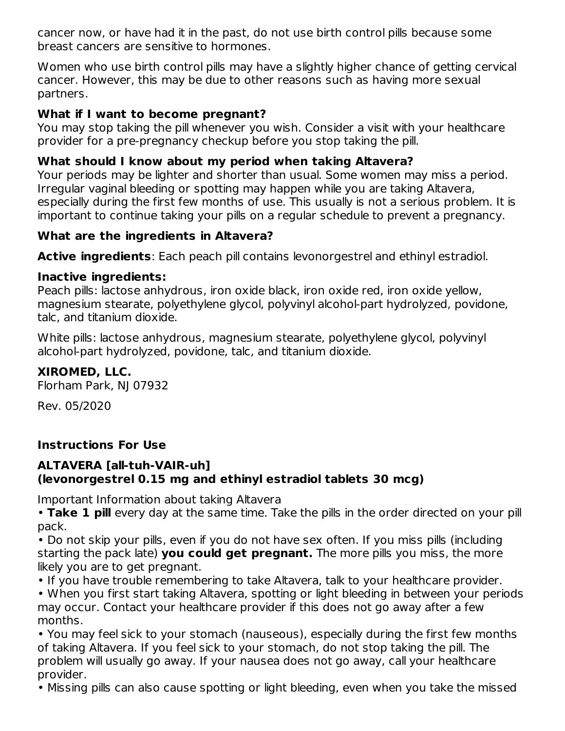cancer now, or have had it in the past, do not use birth control pills because some breast cancers are sensitive to hormones.

Women who use birth control pills may have a slightly higher chance of getting cervical cancer. However, this may be due to other reasons such as having more sexual partners.

### **What if I want to become pregnant?**

You may stop taking the pill whenever you wish. Consider a visit with your healthcare provider for a pre-pregnancy checkup before you stop taking the pill.

### **What should I know about my period when taking Altavera?**

Your periods may be lighter and shorter than usual. Some women may miss a period. Irregular vaginal bleeding or spotting may happen while you are taking Altavera, especially during the first few months of use. This usually is not a serious problem. It is important to continue taking your pills on a regular schedule to prevent a pregnancy.

#### **What are the ingredients in Altavera?**

**Active ingredients**: Each peach pill contains levonorgestrel and ethinyl estradiol.

#### **Inactive ingredients:**

Peach pills: lactose anhydrous, iron oxide black, iron oxide red, iron oxide yellow, magnesium stearate, polyethylene glycol, polyvinyl alcohol-part hydrolyzed, povidone, talc, and titanium dioxide.

White pills: lactose anhydrous, magnesium stearate, polyethylene glycol, polyvinyl alcohol-part hydrolyzed, povidone, talc, and titanium dioxide.

### **XIROMED, LLC.**

Florham Park, NJ 07932

Rev. 05/2020

## **Instructions For Use**

### **ALTAVERA [all-tuh-VAIR-uh] (levonorgestrel 0.15 mg and ethinyl estradiol tablets 30 mcg)**

Important Information about taking Altavera

• **Take 1 pill** every day at the same time. Take the pills in the order directed on your pill pack.

• Do not skip your pills, even if you do not have sex often. If you miss pills (including starting the pack late) **you could get pregnant.** The more pills you miss, the more likely you are to get pregnant.

• If you have trouble remembering to take Altavera, talk to your healthcare provider.

• When you first start taking Altavera, spotting or light bleeding in between your periods may occur. Contact your healthcare provider if this does not go away after a few months.

• You may feel sick to your stomach (nauseous), especially during the first few months of taking Altavera. If you feel sick to your stomach, do not stop taking the pill. The problem will usually go away. If your nausea does not go away, call your healthcare provider.

• Missing pills can also cause spotting or light bleeding, even when you take the missed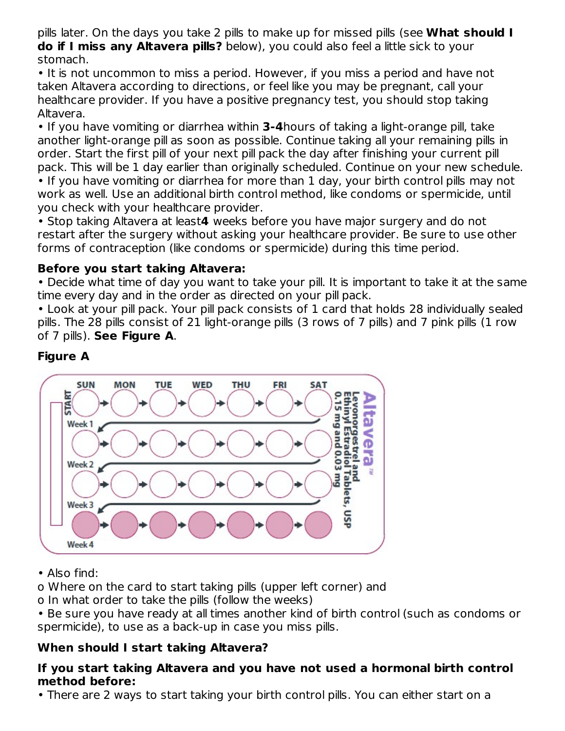pills later. On the days you take 2 pills to make up for missed pills (see **What should I do if I miss any Altavera pills?** below), you could also feel a little sick to your stomach.

• It is not uncommon to miss a period. However, if you miss a period and have not taken Altavera according to directions, or feel like you may be pregnant, call your healthcare provider. If you have a positive pregnancy test, you should stop taking Altavera.

• If you have vomiting or diarrhea within **3-4**hours of taking a light-orange pill, take another light-orange pill as soon as possible. Continue taking all your remaining pills in order. Start the first pill of your next pill pack the day after finishing your current pill pack. This will be 1 day earlier than originally scheduled. Continue on your new schedule. • If you have vomiting or diarrhea for more than 1 day, your birth control pills may not work as well. Use an additional birth control method, like condoms or spermicide, until you check with your healthcare provider.

• Stop taking Altavera at least**4** weeks before you have major surgery and do not restart after the surgery without asking your healthcare provider. Be sure to use other forms of contraception (like condoms or spermicide) during this time period.

## **Before you start taking Altavera:**

• Decide what time of day you want to take your pill. It is important to take it at the same time every day and in the order as directed on your pill pack.

• Look at your pill pack. Your pill pack consists of 1 card that holds 28 individually sealed pills. The 28 pills consist of 21 light-orange pills (3 rows of 7 pills) and 7 pink pills (1 row of 7 pills). **See Figure A**.

## **Figure A**



- Also find:
- o Where on the card to start taking pills (upper left corner) and
- o In what order to take the pills (follow the weeks)
- Be sure you have ready at all times another kind of birth control (such as condoms or spermicide), to use as a back-up in case you miss pills.

## **When should I start taking Altavera?**

### **If you start taking Altavera and you have not used a hormonal birth control method before:**

• There are 2 ways to start taking your birth control pills. You can either start on a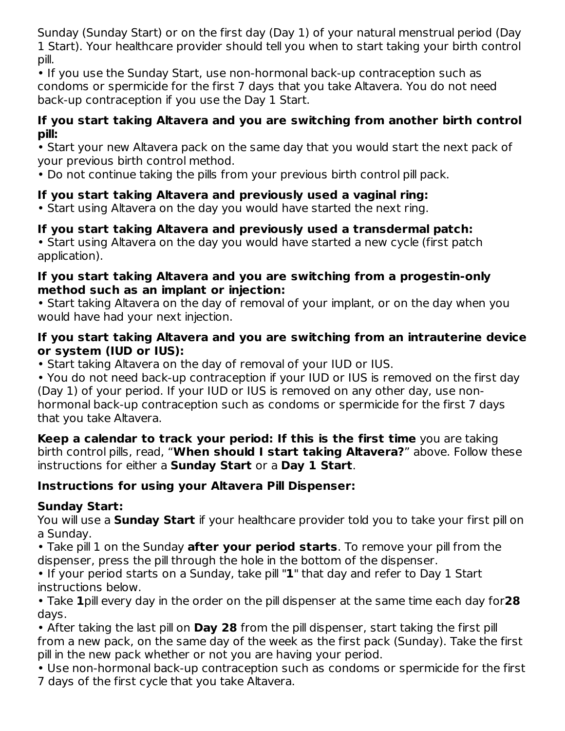Sunday (Sunday Start) or on the first day (Day 1) of your natural menstrual period (Day 1 Start). Your healthcare provider should tell you when to start taking your birth control pill.

• If you use the Sunday Start, use non-hormonal back-up contraception such as condoms or spermicide for the first 7 days that you take Altavera. You do not need back-up contraception if you use the Day 1 Start.

### **If you start taking Altavera and you are switching from another birth control pill:**

• Start your new Altavera pack on the same day that you would start the next pack of your previous birth control method.

• Do not continue taking the pills from your previous birth control pill pack.

## **If you start taking Altavera and previously used a vaginal ring:**

• Start using Altavera on the day you would have started the next ring.

## **If you start taking Altavera and previously used a transdermal patch:**

• Start using Altavera on the day you would have started a new cycle (first patch application).

### **If you start taking Altavera and you are switching from a progestin-only method such as an implant or injection:**

• Start taking Altavera on the day of removal of your implant, or on the day when you would have had your next injection.

## **If you start taking Altavera and you are switching from an intrauterine device or system (IUD or IUS):**

• Start taking Altavera on the day of removal of your IUD or IUS.

• You do not need back-up contraception if your IUD or IUS is removed on the first day (Day 1) of your period. If your IUD or IUS is removed on any other day, use nonhormonal back-up contraception such as condoms or spermicide for the first 7 days that you take Altavera.

**Keep a calendar to track your period: If this is the first time** you are taking birth control pills, read, "**When should I start taking Altavera?**" above. Follow these instructions for either a **Sunday Start** or a **Day 1 Start**.

## **Instructions for using your Altavera Pill Dispenser:**

## **Sunday Start:**

You will use a **Sunday Start** if your healthcare provider told you to take your first pill on a Sunday.

• Take pill 1 on the Sunday **after your period starts**. To remove your pill from the dispenser, press the pill through the hole in the bottom of the dispenser.

• If your period starts on a Sunday, take pill "**1**" that day and refer to Day 1 Start instructions below.

• Take **1**pill every day in the order on the pill dispenser at the same time each day for**28** days.

• After taking the last pill on **Day 28** from the pill dispenser, start taking the first pill from a new pack, on the same day of the week as the first pack (Sunday). Take the first pill in the new pack whether or not you are having your period.

• Use non-hormonal back-up contraception such as condoms or spermicide for the first 7 days of the first cycle that you take Altavera.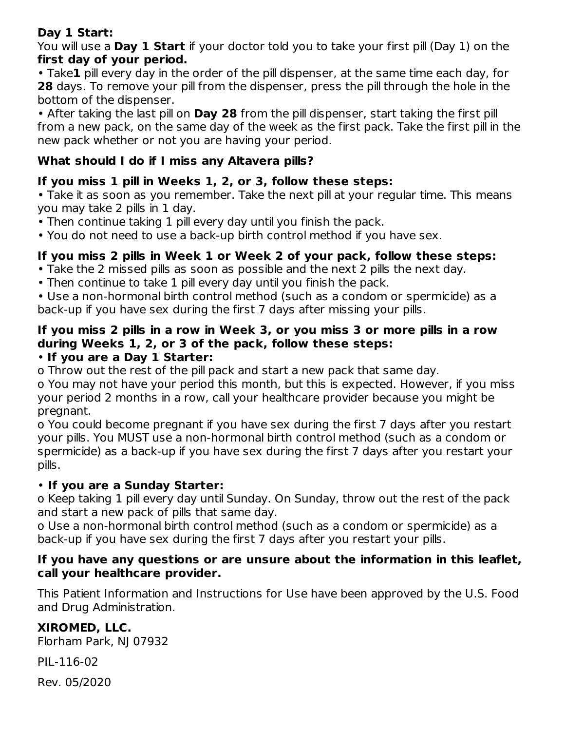## **Day 1 Start:**

You will use a **Day 1 Start** if your doctor told you to take your first pill (Day 1) on the **first day of your period.**

• Take**1** pill every day in the order of the pill dispenser, at the same time each day, for **28** days. To remove your pill from the dispenser, press the pill through the hole in the bottom of the dispenser.

• After taking the last pill on **Day 28** from the pill dispenser, start taking the first pill from a new pack, on the same day of the week as the first pack. Take the first pill in the new pack whether or not you are having your period.

## **What should I do if I miss any Altavera pills?**

## **If you miss 1 pill in Weeks 1, 2, or 3, follow these steps:**

• Take it as soon as you remember. Take the next pill at your regular time. This means you may take 2 pills in 1 day.

- Then continue taking 1 pill every day until you finish the pack.
- You do not need to use a back-up birth control method if you have sex.

## **If you miss 2 pills in Week 1 or Week 2 of your pack, follow these steps:**

- Take the 2 missed pills as soon as possible and the next 2 pills the next day.
- Then continue to take 1 pill every day until you finish the pack.

• Use a non-hormonal birth control method (such as a condom or spermicide) as a back-up if you have sex during the first 7 days after missing your pills.

## **If you miss 2 pills in a row in Week 3, or you miss 3 or more pills in a row during Weeks 1, 2, or 3 of the pack, follow these steps:**

## • **If you are a Day 1 Starter:**

o Throw out the rest of the pill pack and start a new pack that same day.

o You may not have your period this month, but this is expected. However, if you miss your period 2 months in a row, call your healthcare provider because you might be pregnant.

o You could become pregnant if you have sex during the first 7 days after you restart your pills. You MUST use a non-hormonal birth control method (such as a condom or spermicide) as a back-up if you have sex during the first 7 days after you restart your pills.

## • **If you are a Sunday Starter:**

o Keep taking 1 pill every day until Sunday. On Sunday, throw out the rest of the pack and start a new pack of pills that same day.

o Use a non-hormonal birth control method (such as a condom or spermicide) as a back-up if you have sex during the first 7 days after you restart your pills.

### **If you have any questions or are unsure about the information in this leaflet, call your healthcare provider.**

This Patient Information and Instructions for Use have been approved by the U.S. Food and Drug Administration.

## **XIROMED, LLC.**

Florham Park, NJ 07932

PIL-116-02

Rev. 05/2020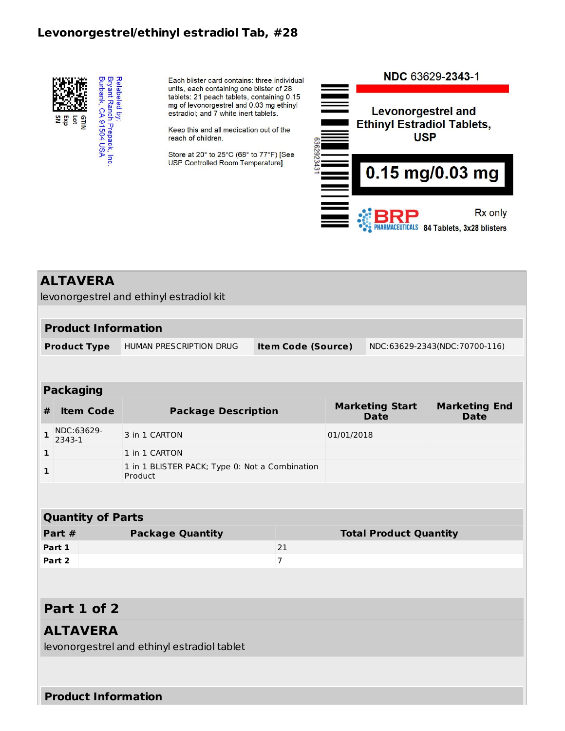#### **Levonorgestrel/ethinyl estradiol Tab, #28**



Each blister card contains: three individual units, each containing one blister of 28 tablets: 21 peach tablets, containing 0.15 mg of levonorgestrel and 0.03 mg ethinyl estradiol; and 7 white inert tablets.

Keep this and all medication out of the reach of children.

Store at 20° to 25°C (68° to 77°F) [See USP Controlled Room Temperature].



|              | <b>ALTAVERA</b>            | levonorgestrel and ethinyl estradiol kit    |                                                |            |                                       |                                     |
|--------------|----------------------------|---------------------------------------------|------------------------------------------------|------------|---------------------------------------|-------------------------------------|
|              |                            |                                             |                                                |            |                                       |                                     |
|              | <b>Product Information</b> |                                             |                                                |            |                                       |                                     |
|              | <b>Product Type</b>        | HUMAN PRESCRIPTION DRUG                     | <b>Item Code (Source)</b>                      |            |                                       | NDC:63629-2343(NDC:70700-116)       |
|              |                            |                                             |                                                |            |                                       |                                     |
|              | <b>Packaging</b>           |                                             |                                                |            |                                       |                                     |
| #            | <b>Item Code</b>           | <b>Package Description</b>                  |                                                |            | <b>Marketing Start</b><br><b>Date</b> | <b>Marketing End</b><br><b>Date</b> |
| $\mathbf{1}$ | NDC:63629-<br>2343-1       | 3 in 1 CARTON                               |                                                | 01/01/2018 |                                       |                                     |
| 1            |                            | 1 in 1 CARTON                               |                                                |            |                                       |                                     |
| 1            |                            | Product                                     | 1 in 1 BLISTER PACK; Type 0: Not a Combination |            |                                       |                                     |
|              |                            |                                             |                                                |            |                                       |                                     |
|              | <b>Quantity of Parts</b>   |                                             |                                                |            |                                       |                                     |
|              | Part #                     | <b>Package Quantity</b>                     |                                                |            | <b>Total Product Quantity</b>         |                                     |
|              | Part 1                     |                                             | 21                                             |            |                                       |                                     |
|              | Part 2                     |                                             | $\overline{7}$                                 |            |                                       |                                     |
|              |                            |                                             |                                                |            |                                       |                                     |
|              | Part 1 of 2                |                                             |                                                |            |                                       |                                     |
|              | <b>ALTAVERA</b>            | levonorgestrel and ethinyl estradiol tablet |                                                |            |                                       |                                     |
|              |                            |                                             |                                                |            |                                       |                                     |
|              | <b>Product Information</b> |                                             |                                                |            |                                       |                                     |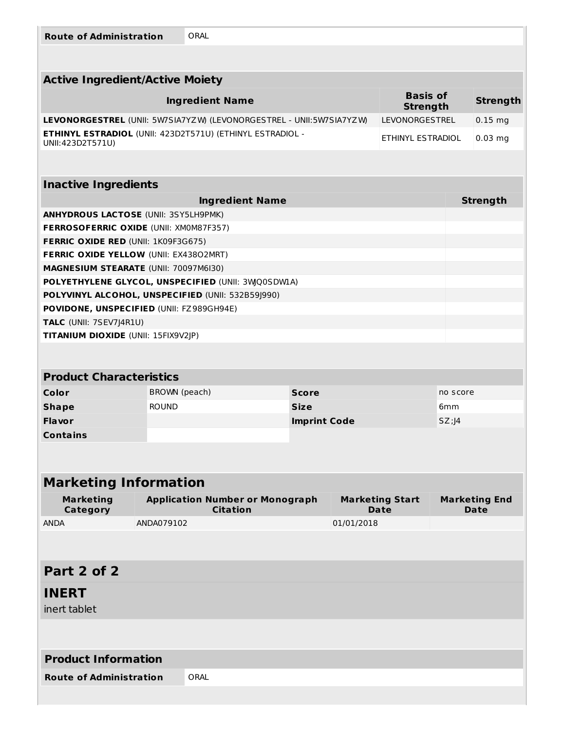| <b>Route of Administration</b> | ORAL |
|--------------------------------|------|
|--------------------------------|------|

| <b>ROUTE OF Administration</b>                                 |               | UKAL                                                                 |                     |            |                                       |                 |                                     |
|----------------------------------------------------------------|---------------|----------------------------------------------------------------------|---------------------|------------|---------------------------------------|-----------------|-------------------------------------|
|                                                                |               |                                                                      |                     |            |                                       |                 |                                     |
| <b>Active Ingredient/Active Moiety</b>                         |               |                                                                      |                     |            |                                       |                 |                                     |
|                                                                |               | <b>Ingredient Name</b>                                               |                     |            | <b>Basis of</b><br><b>Strength</b>    |                 | <b>Strength</b>                     |
|                                                                |               | LEVONORGESTREL (UNII: 5W7SIA7YZW) (LEVONORGESTREL - UNII:5W7SIA7YZW) |                     |            | LEVONORGESTREL                        |                 | $0.15$ mg                           |
| UNII:423D2T571U)                                               |               | <b>ETHINYL ESTRADIOL (UNII: 423D2T571U) (ETHINYL ESTRADIOL -</b>     |                     |            | ETHINYL ESTRADIOL                     |                 | $0.03$ mg                           |
|                                                                |               |                                                                      |                     |            |                                       |                 |                                     |
| <b>Inactive Ingredients</b>                                    |               |                                                                      |                     |            |                                       |                 |                                     |
|                                                                |               | <b>Ingredient Name</b>                                               |                     |            |                                       |                 | <b>Strength</b>                     |
| <b>ANHYDROUS LACTOSE (UNII: 3SY5LH9PMK)</b>                    |               |                                                                      |                     |            |                                       |                 |                                     |
| <b>FERROSOFERRIC OXIDE (UNII: XM0M87F357)</b>                  |               |                                                                      |                     |            |                                       |                 |                                     |
| <b>FERRIC OXIDE RED (UNII: 1K09F3G675)</b>                     |               |                                                                      |                     |            |                                       |                 |                                     |
| FERRIC OXIDE YELLOW (UNII: EX43802MRT)                         |               |                                                                      |                     |            |                                       |                 |                                     |
| <b>MAGNESIUM STEARATE (UNII: 70097M6I30)</b>                   |               |                                                                      |                     |            |                                       |                 |                                     |
|                                                                |               | POLYETHYLENE GLYCOL, UNSPECIFIED (UNII: 3WQ0SDWIA)                   |                     |            |                                       |                 |                                     |
|                                                                |               | POLYVINYL ALCOHOL, UNSPECIFIED (UNII: 532B59J990)                    |                     |            |                                       |                 |                                     |
| POVIDONE, UNSPECIFIED (UNII: FZ989GH94E)                       |               |                                                                      |                     |            |                                       |                 |                                     |
| TALC (UNII: 7SEV7J4R1U)<br>TITANIUM DIOXIDE (UNII: 15FIX9V2JP) |               |                                                                      |                     |            |                                       |                 |                                     |
|                                                                |               |                                                                      |                     |            |                                       |                 |                                     |
|                                                                |               |                                                                      |                     |            |                                       |                 |                                     |
| <b>Product Characteristics</b>                                 |               |                                                                      |                     |            |                                       |                 |                                     |
| Color                                                          | BROWN (peach) |                                                                      | <b>Score</b>        |            |                                       | no score        |                                     |
| <b>Shape</b>                                                   | <b>ROUND</b>  |                                                                      | <b>Size</b>         |            |                                       | 6 <sub>mm</sub> |                                     |
| <b>Flavor</b>                                                  |               |                                                                      | <b>Imprint Code</b> |            |                                       | SZ;  4          |                                     |
| <b>Contains</b>                                                |               |                                                                      |                     |            |                                       |                 |                                     |
|                                                                |               |                                                                      |                     |            |                                       |                 |                                     |
|                                                                |               |                                                                      |                     |            |                                       |                 |                                     |
| <b>Marketing Information</b>                                   |               |                                                                      |                     |            |                                       |                 |                                     |
| <b>Marketing</b><br>Category                                   |               | <b>Application Number or Monograph</b><br><b>Citation</b>            |                     |            | <b>Marketing Start</b><br><b>Date</b> |                 | <b>Marketing End</b><br><b>Date</b> |
| <b>ANDA</b>                                                    | ANDA079102    |                                                                      |                     | 01/01/2018 |                                       |                 |                                     |
|                                                                |               |                                                                      |                     |            |                                       |                 |                                     |
| Part 2 of 2                                                    |               |                                                                      |                     |            |                                       |                 |                                     |
|                                                                |               |                                                                      |                     |            |                                       |                 |                                     |
| <b>INERT</b>                                                   |               |                                                                      |                     |            |                                       |                 |                                     |
| inert tablet                                                   |               |                                                                      |                     |            |                                       |                 |                                     |
|                                                                |               |                                                                      |                     |            |                                       |                 |                                     |
| <b>Product Information</b>                                     |               |                                                                      |                     |            |                                       |                 |                                     |
| <b>Route of Administration</b>                                 |               | ORAL                                                                 |                     |            |                                       |                 |                                     |
|                                                                |               |                                                                      |                     |            |                                       |                 |                                     |